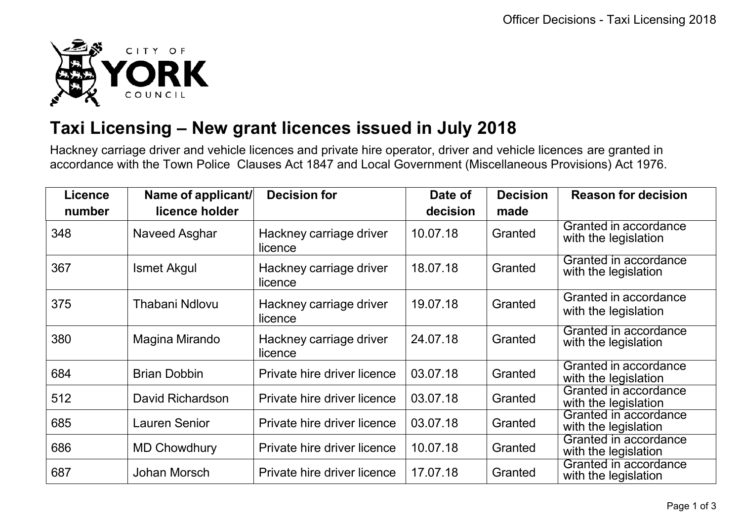

## **Taxi Licensing – New grant licences issued in July 2018**

Hackney carriage driver and vehicle licences and private hire operator, driver and vehicle licences are granted in accordance with the Town Police Clauses Act 1847 and Local Government (Miscellaneous Provisions) Act 1976.

| <b>Licence</b> | Name of applicant/   | <b>Decision for</b>                | Date of  | <b>Decision</b> | <b>Reason for decision</b>                    |
|----------------|----------------------|------------------------------------|----------|-----------------|-----------------------------------------------|
| number         | licence holder       |                                    | decision | made            |                                               |
| 348            | Naveed Asghar        | Hackney carriage driver<br>licence | 10.07.18 | Granted         | Granted in accordance<br>with the legislation |
| 367            | <b>Ismet Akgul</b>   | Hackney carriage driver<br>licence | 18.07.18 | Granted         | Granted in accordance<br>with the legislation |
| 375            | Thabani Ndlovu       | Hackney carriage driver<br>licence | 19.07.18 | Granted         | Granted in accordance<br>with the legislation |
| 380            | Magina Mirando       | Hackney carriage driver<br>licence | 24.07.18 | Granted         | Granted in accordance<br>with the legislation |
| 684            | <b>Brian Dobbin</b>  | Private hire driver licence        | 03.07.18 | Granted         | Granted in accordance<br>with the legislation |
| 512            | David Richardson     | Private hire driver licence        | 03.07.18 | Granted         | Granted in accordance<br>with the legislation |
| 685            | <b>Lauren Senior</b> | Private hire driver licence        | 03.07.18 | Granted         | Granted in accordance<br>with the legislation |
| 686            | <b>MD Chowdhury</b>  | Private hire driver licence        | 10.07.18 | Granted         | Granted in accordance<br>with the legislation |
| 687            | Johan Morsch         | Private hire driver licence        | 17.07.18 | Granted         | Granted in accordance<br>with the legislation |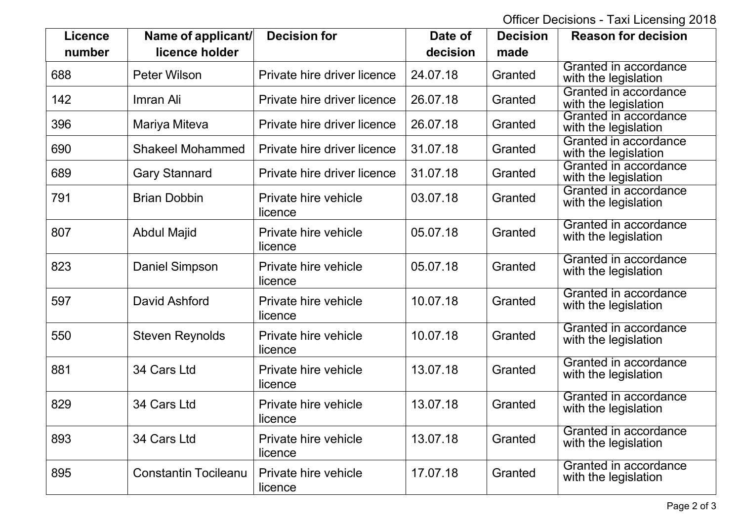Officer Decisions - Taxi Licensing 2018

| <b>Licence</b><br>number | Name of applicant/<br>licence holder | <b>Decision for</b>             | Date of<br>decision | <b>Decision</b><br>made | <b>Reason for decision</b>                    |
|--------------------------|--------------------------------------|---------------------------------|---------------------|-------------------------|-----------------------------------------------|
| 688                      | <b>Peter Wilson</b>                  | Private hire driver licence     | 24.07.18            | Granted                 | Granted in accordance<br>with the legislation |
| 142                      | Imran Ali                            | Private hire driver licence     | 26.07.18            | Granted                 | Granted in accordance<br>with the legislation |
| 396                      | Mariya Miteva                        | Private hire driver licence     | 26.07.18            | Granted                 | Granted in accordance<br>with the legislation |
| 690                      | <b>Shakeel Mohammed</b>              | Private hire driver licence     | 31.07.18            | Granted                 | Granted in accordance<br>with the legislation |
| 689                      | <b>Gary Stannard</b>                 | Private hire driver licence     | 31.07.18            | Granted                 | Granted in accordance<br>with the legislation |
| 791                      | <b>Brian Dobbin</b>                  | Private hire vehicle<br>licence | 03.07.18            | Granted                 | Granted in accordance<br>with the legislation |
| 807                      | <b>Abdul Majid</b>                   | Private hire vehicle<br>licence | 05.07.18            | Granted                 | Granted in accordance<br>with the legislation |
| 823                      | <b>Daniel Simpson</b>                | Private hire vehicle<br>licence | 05.07.18            | Granted                 | Granted in accordance<br>with the legislation |
| 597                      | David Ashford                        | Private hire vehicle<br>licence | 10.07.18            | Granted                 | Granted in accordance<br>with the legislation |
| 550                      | <b>Steven Reynolds</b>               | Private hire vehicle<br>licence | 10.07.18            | Granted                 | Granted in accordance<br>with the legislation |
| 881                      | 34 Cars Ltd                          | Private hire vehicle<br>licence | 13.07.18            | Granted                 | Granted in accordance<br>with the legislation |
| 829                      | 34 Cars Ltd                          | Private hire vehicle<br>licence | 13.07.18            | Granted                 | Granted in accordance<br>with the legislation |
| 893                      | 34 Cars Ltd                          | Private hire vehicle<br>licence | 13.07.18            | Granted                 | Granted in accordance<br>with the legislation |
| 895                      | <b>Constantin Tocileanu</b>          | Private hire vehicle<br>licence | 17.07.18            | Granted                 | Granted in accordance<br>with the legislation |